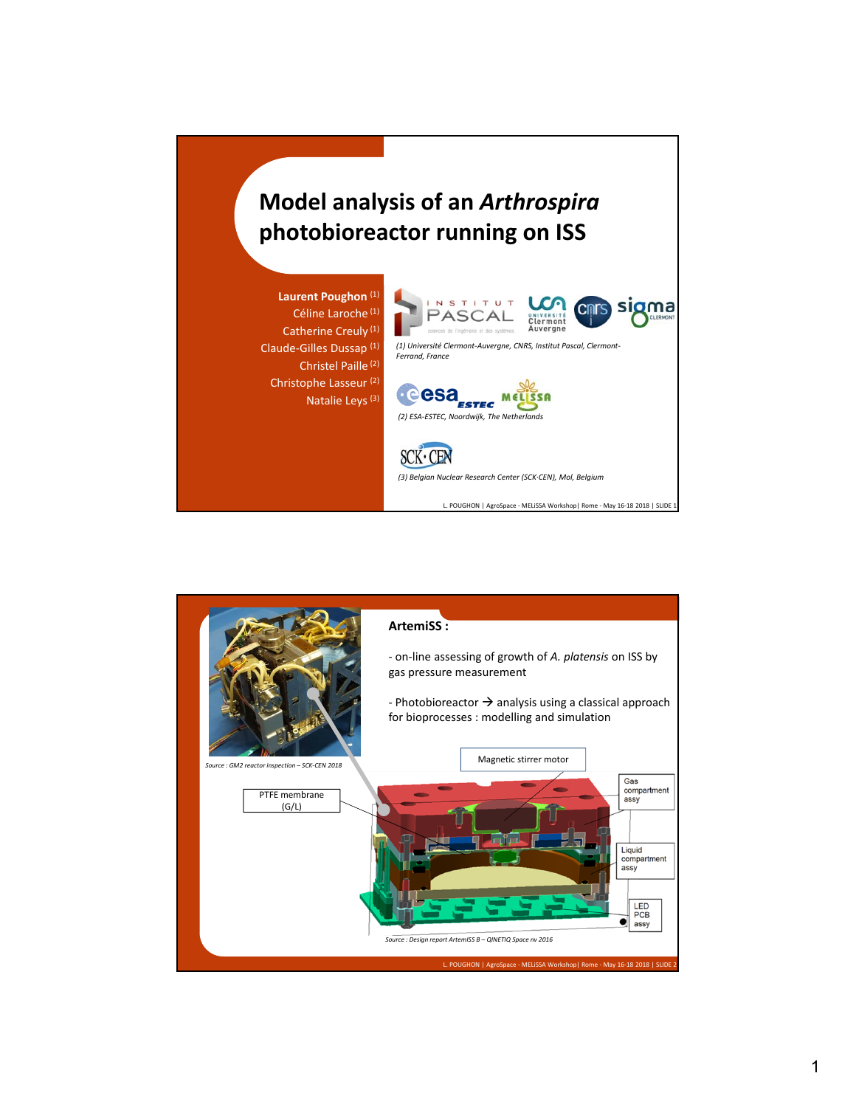## **Model analysis of an** *Arthrospira* **photobioreactor running on ISS**

**Laurent Poughon** (1) Céline Laroche (1) Catherine Creuly<sup>(1)</sup> Claude‐Gilles Dussap (1) Christel Paille (2) Christophe Lasseur (2) Natalie Leys (3)



*(1) Université Clermont‐Auvergne, CNRS, Institut Pascal, Clermont‐ Ferrand, France*



8CK

*(3) Belgian Nuclear Research Center (SCK∙CEN), Mol, Belgium*

L. POUGHON | AgroSpace ‐ MELiSSA Workshop| Rome ‐ May 16‐18 2018 | SLIDE 1

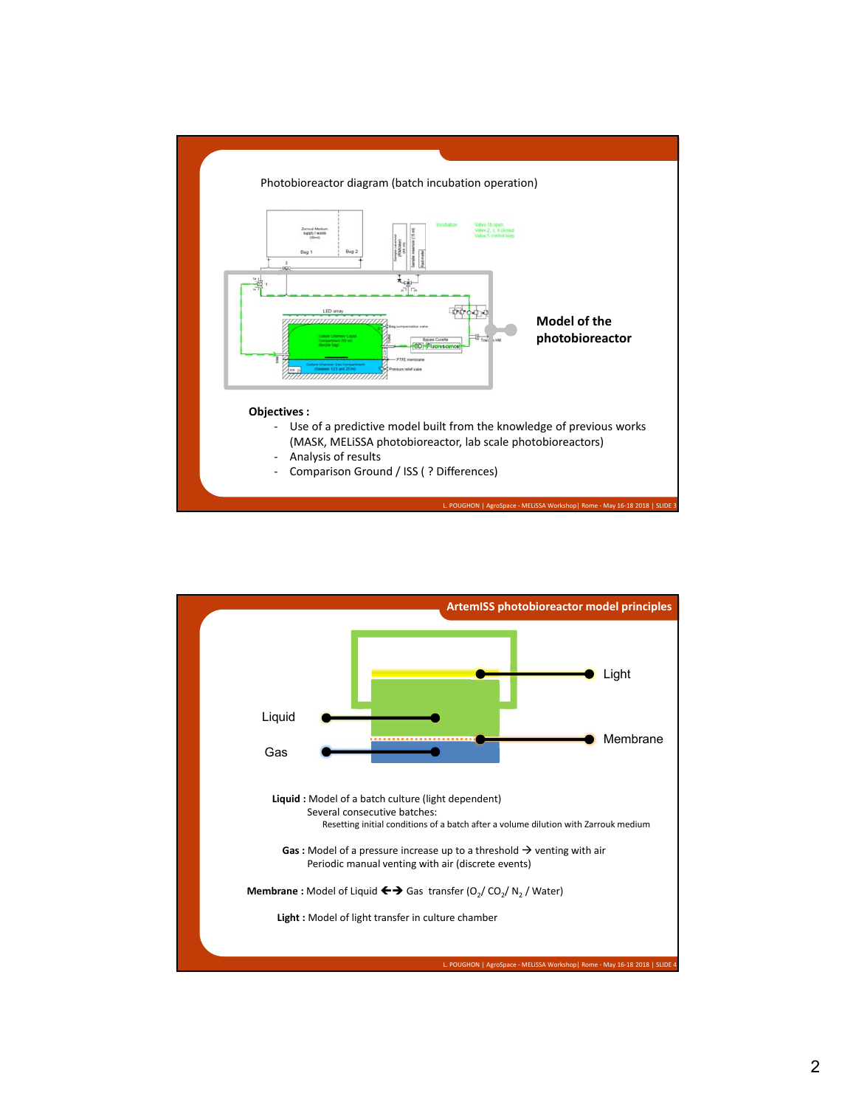

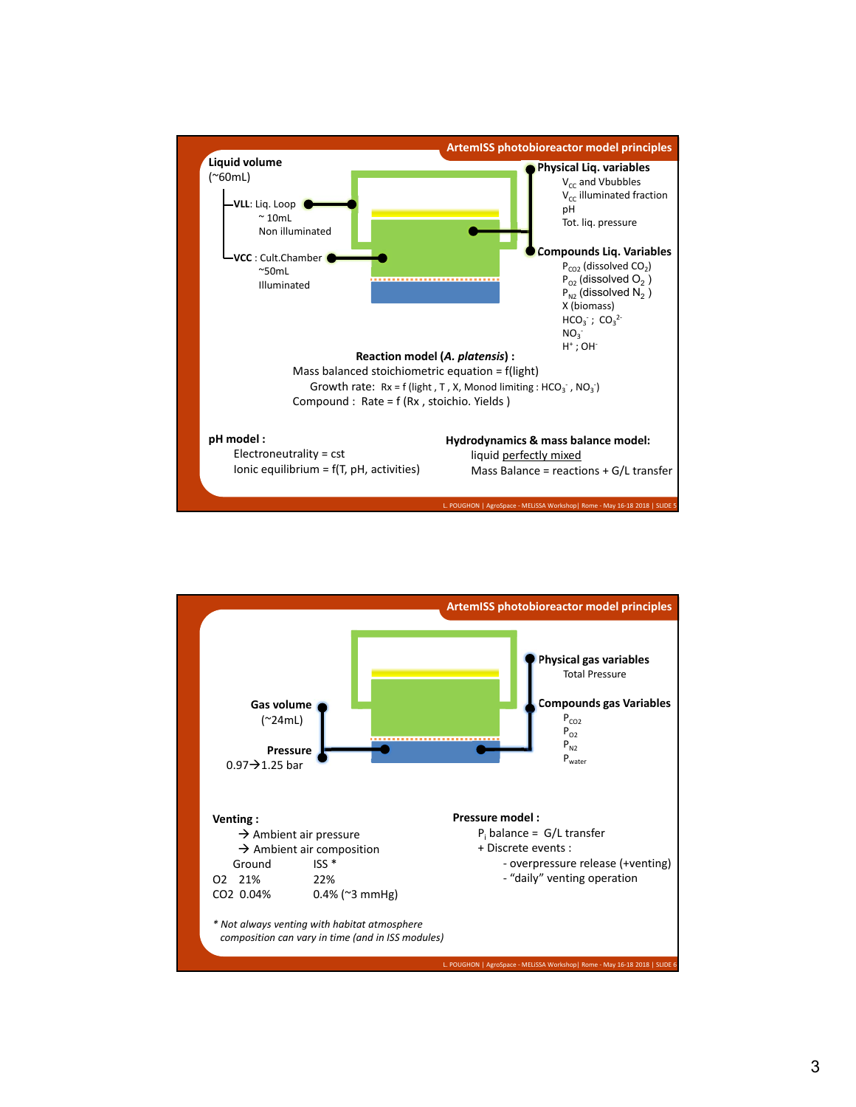

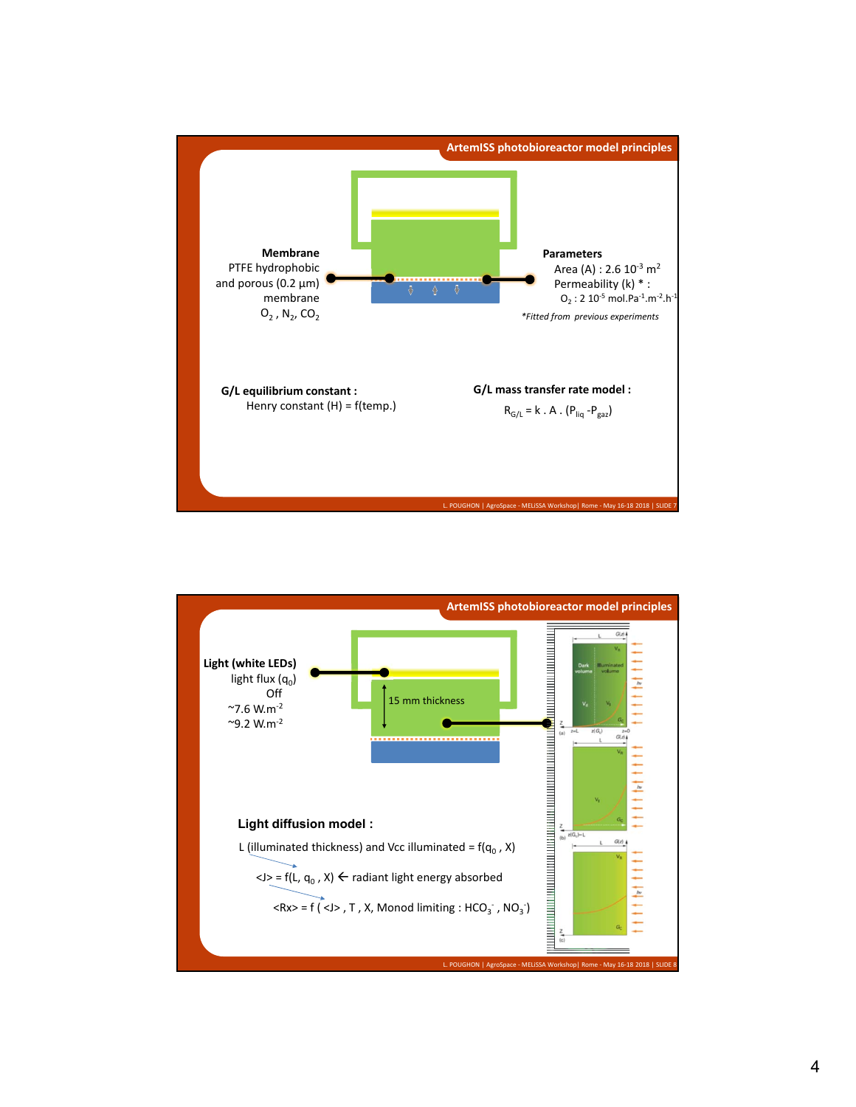

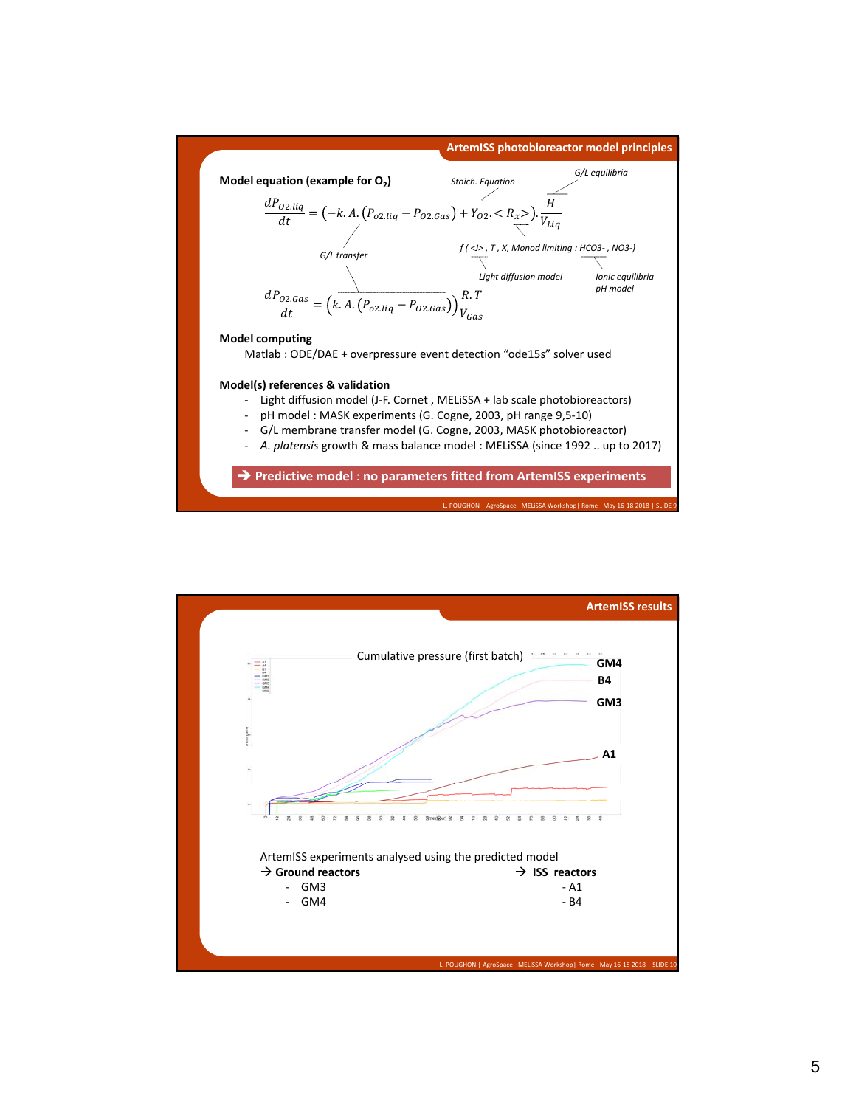

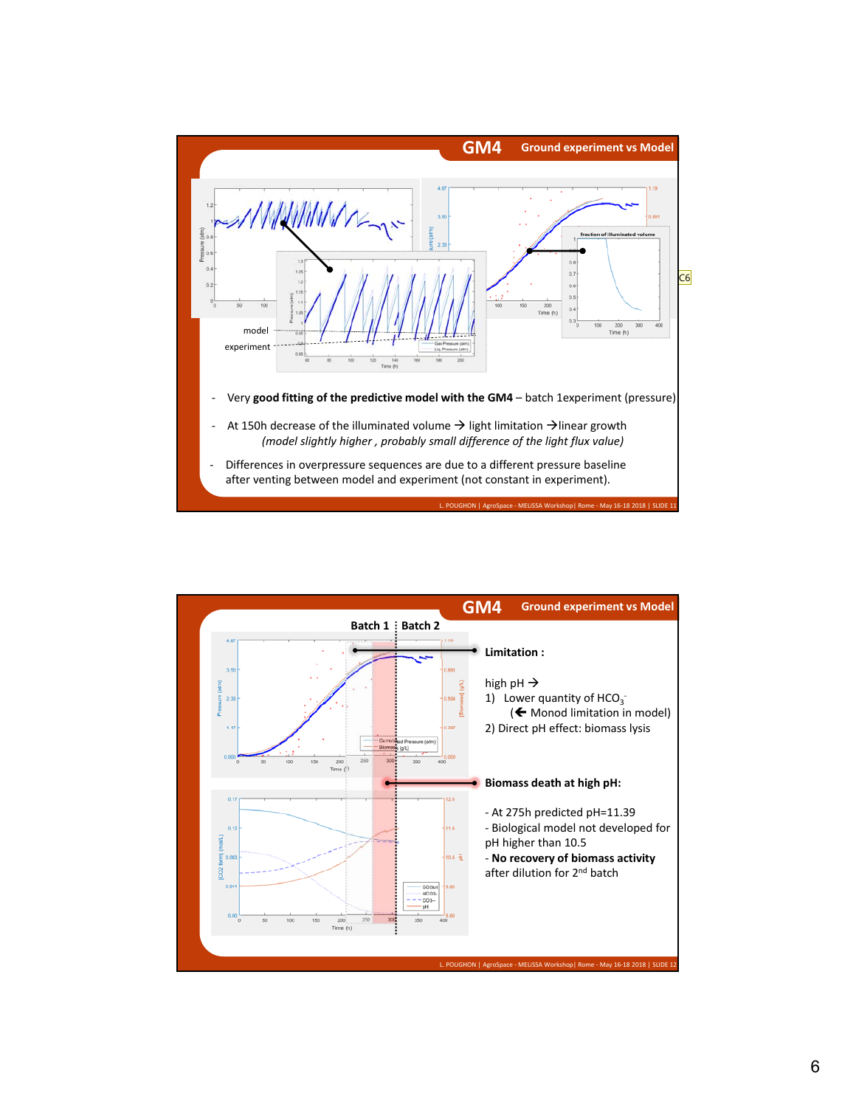

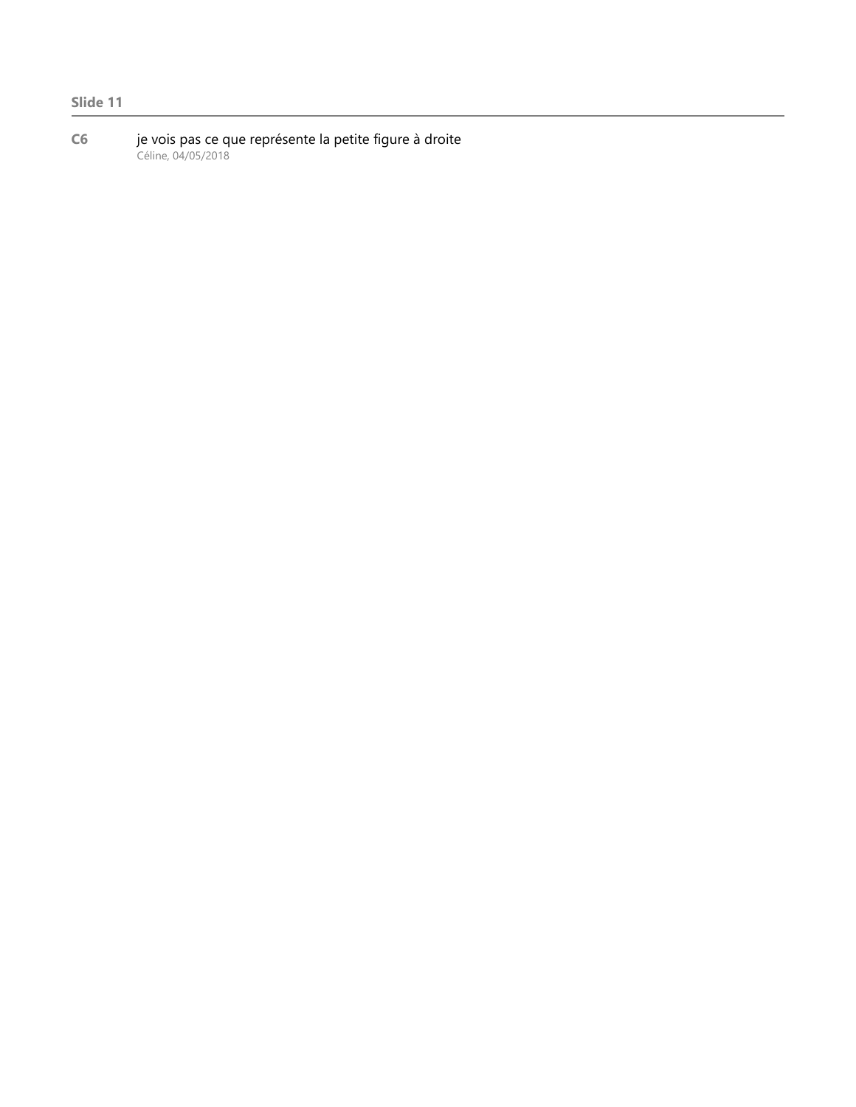**C6** je vois pas ce que représente la petite figure à droite Céline, 04/05/2018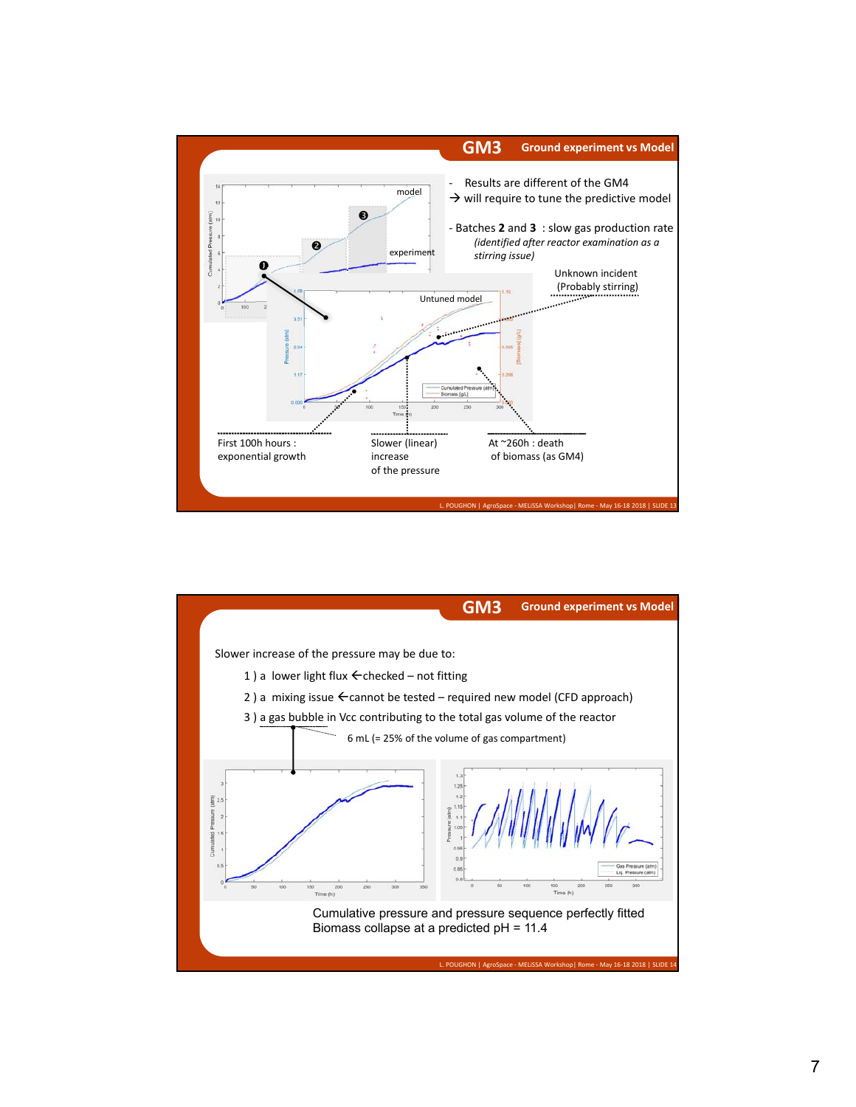

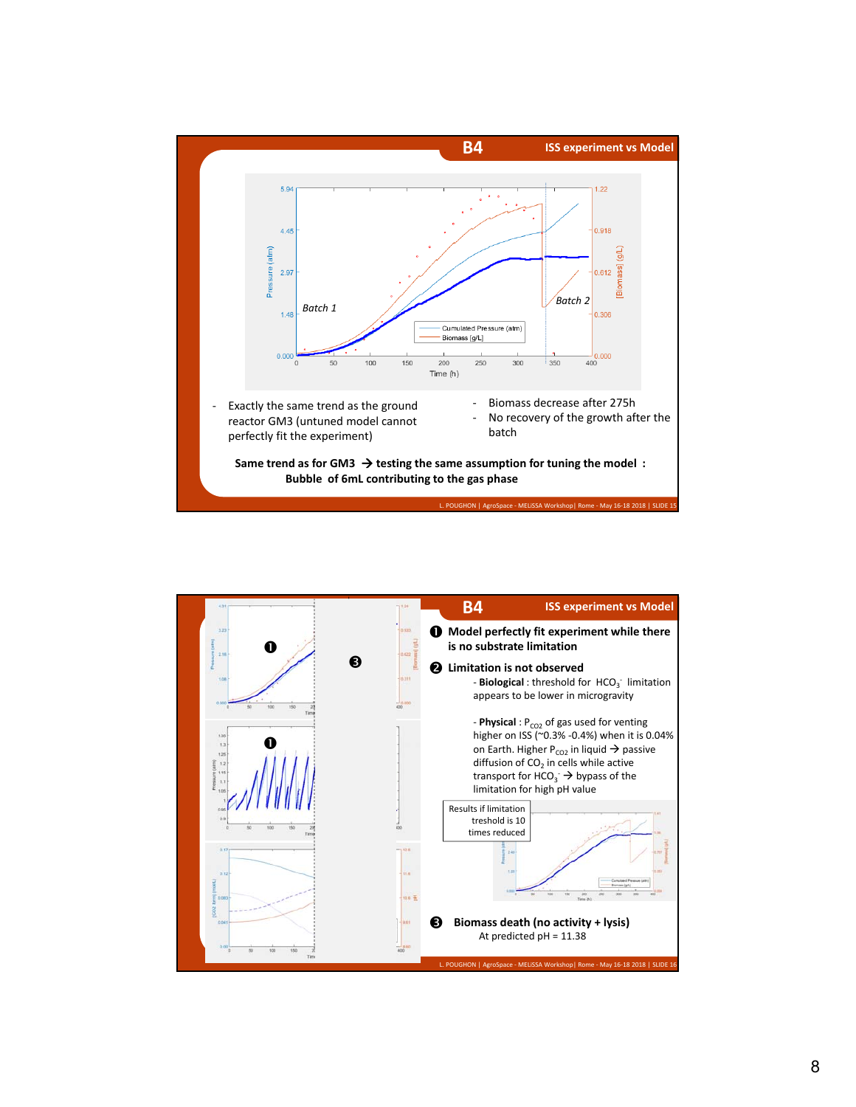

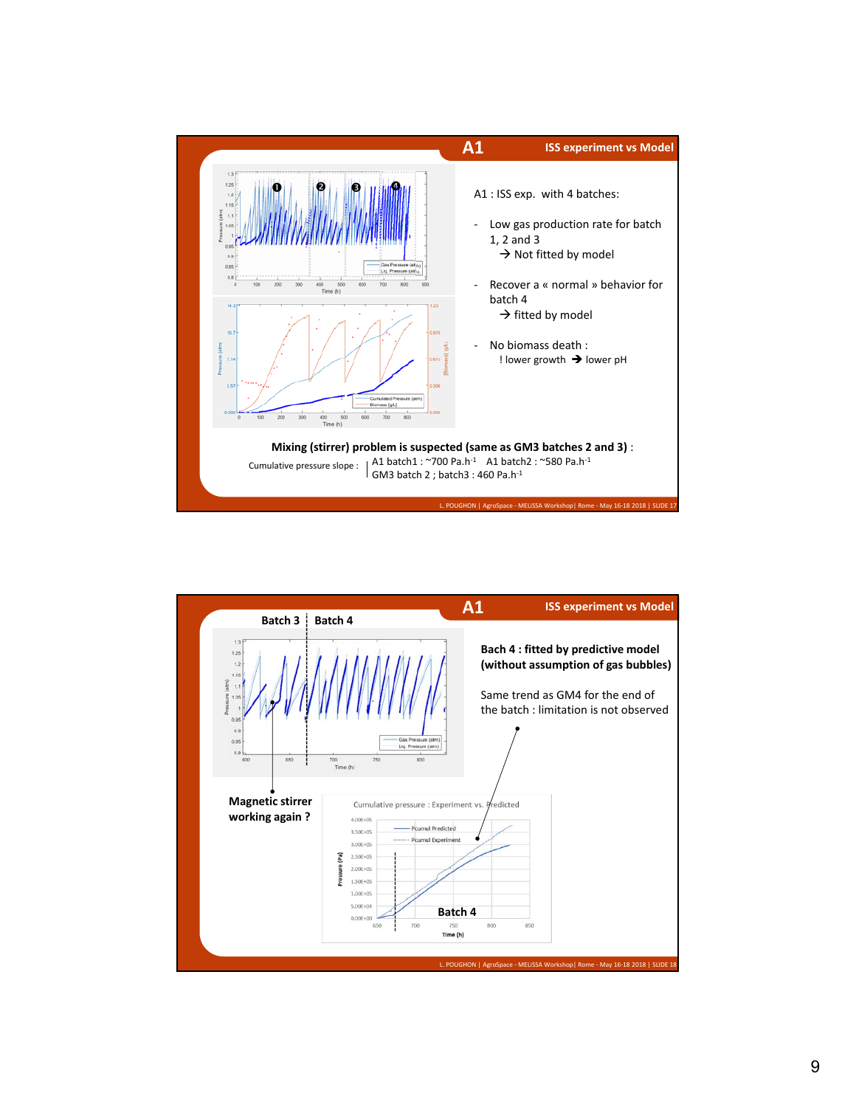